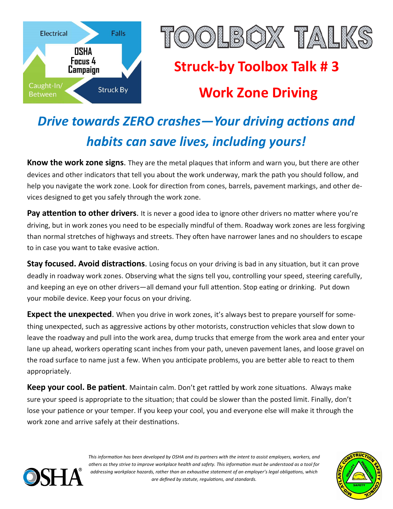



## **Struck‐by Toolbox Talk # 3**

## **Work Zone Driving**

# **Drive towards ZERO crashes-Your driving actions and** *habits can save lives, including yours!*

**Know the work zone signs**. They are the metal plaques that inform and warn you, but there are other devices and other indicators that tell you about the work underway, mark the path you should follow, and help you navigate the work zone. Look for direction from cones, barrels, pavement markings, and other devices designed to get you safely through the work zone.

Pay attention to other drivers. It is never a good idea to ignore other drivers no matter where you're driving, but in work zones you need to be especially mindful of them. Roadway work zones are less forgiving than normal stretches of highways and streets. They often have narrower lanes and no shoulders to escape to in case you want to take evasive action.

**Stay focused. Avoid distractions**. Losing focus on your driving is bad in any situation, but it can prove deadly in roadway work zones. Observing what the signs tell you, controlling your speed, steering carefully, and keeping an eye on other drivers—all demand your full attention. Stop eating or drinking. Put down your mobile device. Keep your focus on your driving.

**Expect the unexpected**. When you drive in work zones, it's always best to prepare yourself for something unexpected, such as aggressive actions by other motorists, construction vehicles that slow down to leave the roadway and pull into the work area, dump trucks that emerge from the work area and enter your lane up ahead, workers operating scant inches from your path, uneven pavement lanes, and loose gravel on the road surface to name just a few. When you anticipate problems, you are better able to react to them appropriately.

**Keep your cool. Be patient**. Maintain calm. Don't get rattled by work zone situations. Always make sure your speed is appropriate to the situation; that could be slower than the posted limit. Finally, don't lose your patience or your temper. If you keep your cool, you and everyone else will make it through the work zone and arrive safely at their destinations.



*This informaƟon has been developed by OSHA and its partners with the intent to assist employers, workers, and others as they strive to improve workplace health and safety. This informaƟon must be understood as a tool for addressing workplace hazards, rather than an exhausƟve statement of an employer's legal obligaƟons, which are defined by statute, regulaƟons, and standards.*